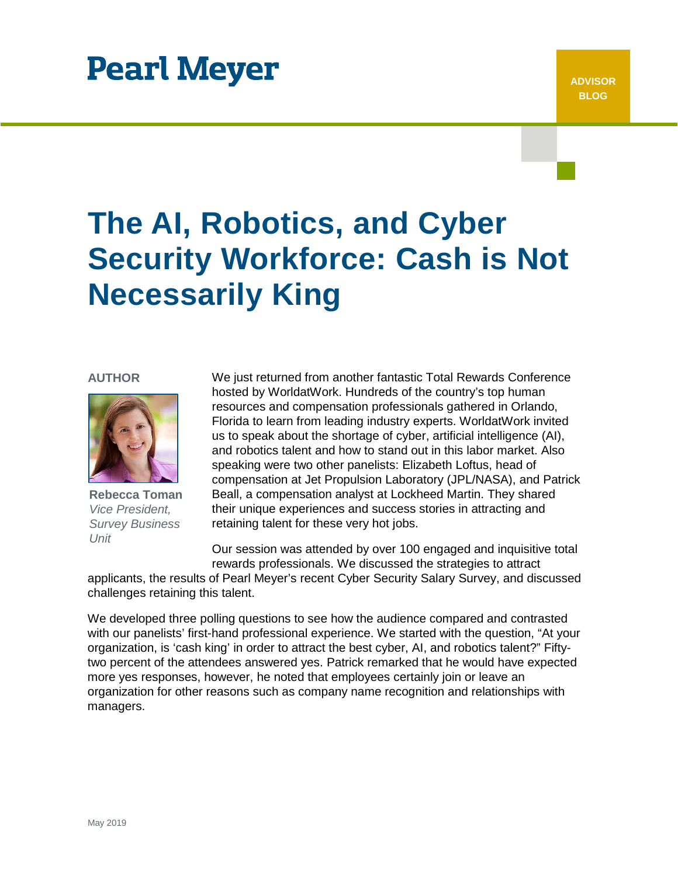# **Pearl Meyer**

# **The AI, Robotics, and Cyber Security Workforce: Cash is Not Necessarily King**

### **AUTHOR**



**Rebecca Toman** *Vice President, Survey Business Unit*

We just returned from another fantastic Total Rewards Conference hosted by WorldatWork. Hundreds of the country's top human resources and compensation professionals gathered in Orlando, Florida to learn from leading industry experts. WorldatWork invited us to speak about the shortage of cyber, artificial intelligence (AI), and robotics talent and how to stand out in this labor market. Also speaking were two other panelists: Elizabeth Loftus, head of compensation at Jet Propulsion Laboratory (JPL/NASA), and Patrick Beall, a compensation analyst at Lockheed Martin. They shared their unique experiences and success stories in attracting and retaining talent for these very hot jobs.

Our session was attended by over 100 engaged and inquisitive total rewards professionals. We discussed the strategies to attract

applicants, the results of Pearl Meyer's recent Cyber Security Salary Survey, and discussed challenges retaining this talent.

We developed three polling questions to see how the audience compared and contrasted with our panelists' first-hand professional experience. We started with the question, "At your organization, is 'cash king' in order to attract the best cyber, AI, and robotics talent?" Fiftytwo percent of the attendees answered yes. Patrick remarked that he would have expected more yes responses, however, he noted that employees certainly join or leave an organization for other reasons such as company name recognition and relationships with managers.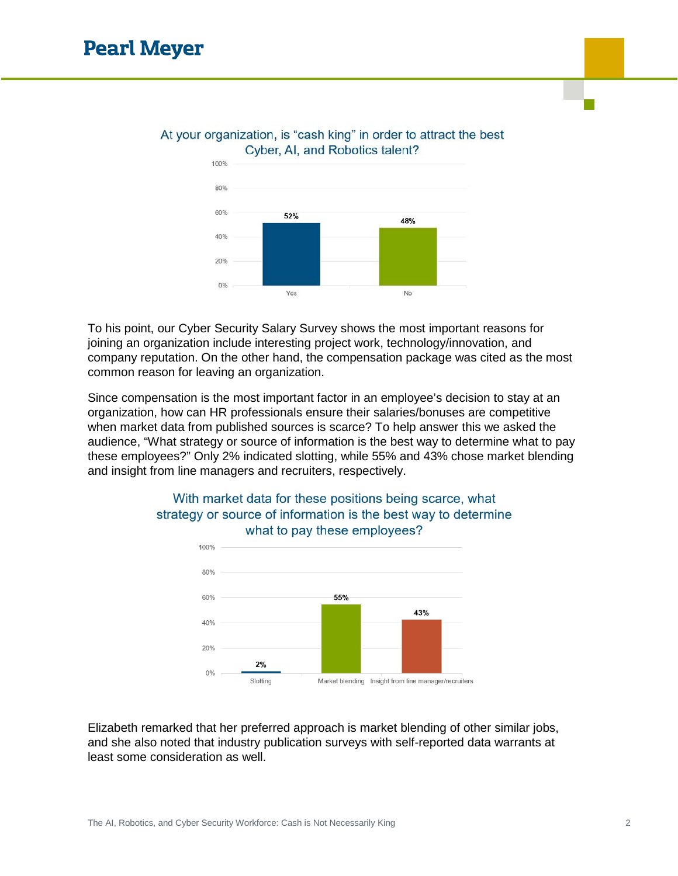

### At your organization, is "cash king" in order to attract the best Cyber, AI, and Robotics talent?

To his point, our Cyber Security Salary Survey shows the most important reasons for joining an organization include interesting project work, technology/innovation, and company reputation. On the other hand, the compensation package was cited as the most common reason for leaving an organization.

Since compensation is the most important factor in an employee's decision to stay at an organization, how can HR professionals ensure their salaries/bonuses are competitive when market data from published sources is scarce? To help answer this we asked the audience, "What strategy or source of information is the best way to determine what to pay these employees?" Only 2% indicated slotting, while 55% and 43% chose market blending and insight from line managers and recruiters, respectively.



## With market data for these positions being scarce, what strategy or source of information is the best way to determine what to pay these employees?

Elizabeth remarked that her preferred approach is market blending of other similar jobs, and she also noted that industry publication surveys with self-reported data warrants at least some consideration as well.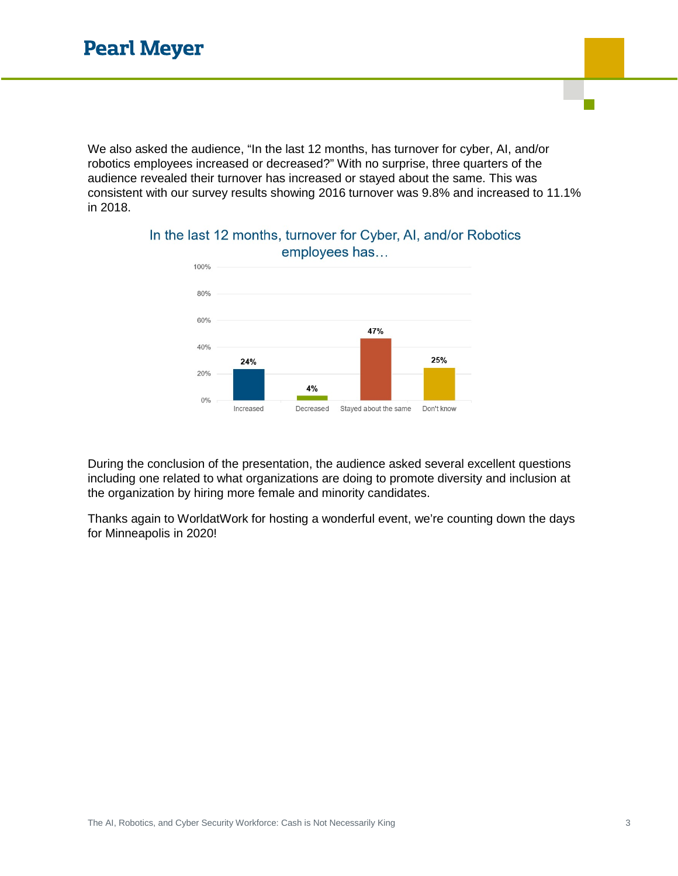We also asked the audience, "In the last 12 months, has turnover for cyber, AI, and/or robotics employees increased or decreased?" With no surprise, three quarters of the audience revealed their turnover has increased or stayed about the same. This was consistent with our survey results showing 2016 turnover was 9.8% and increased to 11.1% in 2018.



## In the last 12 months, turnover for Cyber, AI, and/or Robotics employees has...

During the conclusion of the presentation, the audience asked several excellent questions including one related to what organizations are doing to promote diversity and inclusion at the organization by hiring more female and minority candidates.

Thanks again to WorldatWork for hosting a wonderful event, we're counting down the days for Minneapolis in 2020!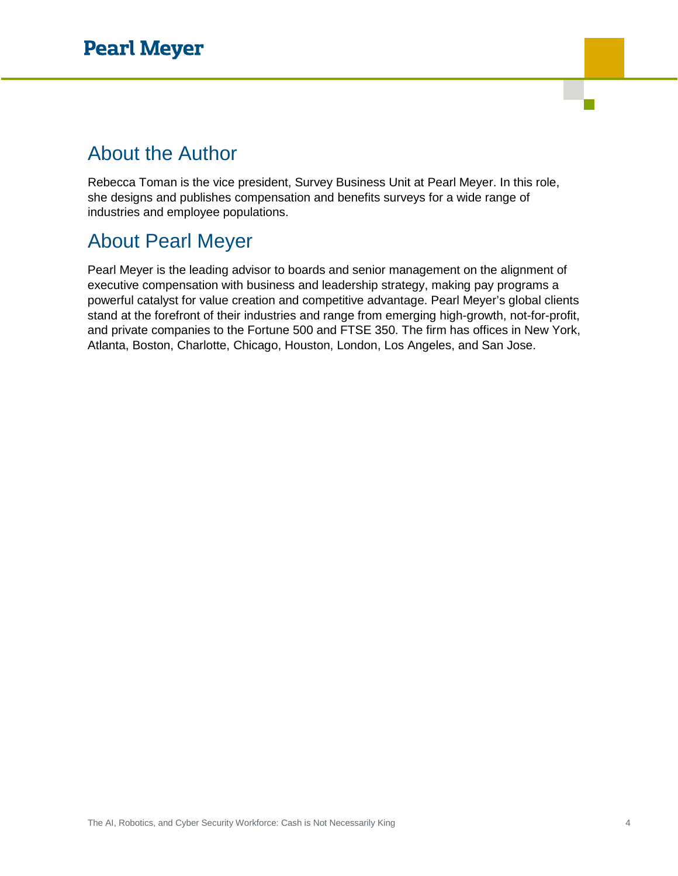# About the Author

Rebecca Toman is the vice president, Survey Business Unit at Pearl Meyer. In this role, she designs and publishes compensation and benefits surveys for a wide range of industries and employee populations.

# About Pearl Meyer

Pearl Meyer is the leading advisor to boards and senior management on the alignment of executive compensation with business and leadership strategy, making pay programs a powerful catalyst for value creation and competitive advantage. Pearl Meyer's global clients stand at the forefront of their industries and range from emerging high-growth, not-for-profit, and private companies to the Fortune 500 and FTSE 350. The firm has offices in New York, Atlanta, Boston, Charlotte, Chicago, Houston, London, Los Angeles, and San Jose.